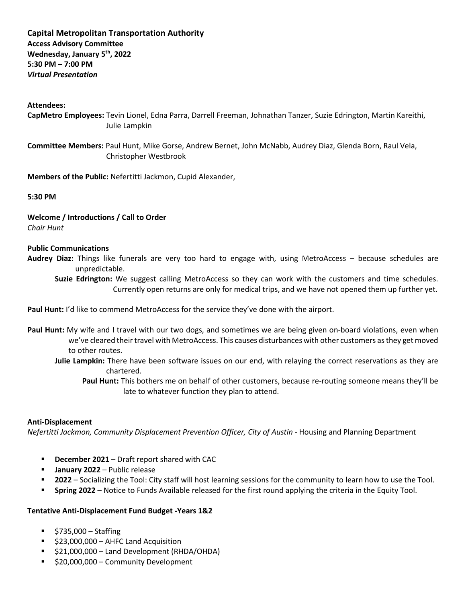# **Capital Metropolitan Transportation Authority Access Advisory Committee Wednesday, January 5th, 2022 5:30 PM – 7:00 PM** *Virtual Presentation*

### **Attendees:**

**CapMetro Employees:** Tevin Lionel, Edna Parra, Darrell Freeman, Johnathan Tanzer, Suzie Edrington, Martin Kareithi, Julie Lampkin

**Committee Members:** Paul Hunt, Mike Gorse, Andrew Bernet, John McNabb, Audrey Diaz, Glenda Born, Raul Vela, Christopher Westbrook

**Members of the Public:** Nefertitti Jackmon, Cupid Alexander,

**5:30 PM**

**Welcome / Introductions / Call to Order** *Chair Hunt*

#### **Public Communications**

**Audrey Diaz:** Things like funerals are very too hard to engage with, using MetroAccess – because schedules are unpredictable.

**Suzie Edrington:** We suggest calling MetroAccess so they can work with the customers and time schedules. Currently open returns are only for medical trips, and we have not opened them up further yet.

Paul Hunt: I'd like to commend MetroAccess for the service they've done with the airport.

- **Paul Hunt:** My wife and I travel with our two dogs, and sometimes we are being given on-board violations, even when we've cleared their travel with MetroAccess. This causes disturbances with other customers as they get moved to other routes.
	- **Julie Lampkin:** There have been software issues on our end, with relaying the correct reservations as they are chartered.
		- **Paul Hunt:** This bothers me on behalf of other customers, because re-routing someone means they'll be late to whatever function they plan to attend.

#### **Anti-Displacement**

*Nefertitti Jackmon, Community Displacement Prevention Officer, City of Austin* - Housing and Planning Department

- **December 2021** Draft report shared with CAC
- **January 2022**  Public release
- **2022**  Socializing the Tool: City staff will host learning sessions for the community to learn how to use the Tool.
- **Spring 2022** Notice to Funds Available released for the first round applying the criteria in the Equity Tool.

## **Tentative Anti-Displacement Fund Budget -Years 1&2**

- $\frac{1}{2}$  \$735,000 Staffing
- $\overline{\phantom{a}}$  \$23,000,000 AHFC Land Acquisition
- $\overline{521,000,000}$  Land Development (RHDA/OHDA)
- \$20,000,000 Community Development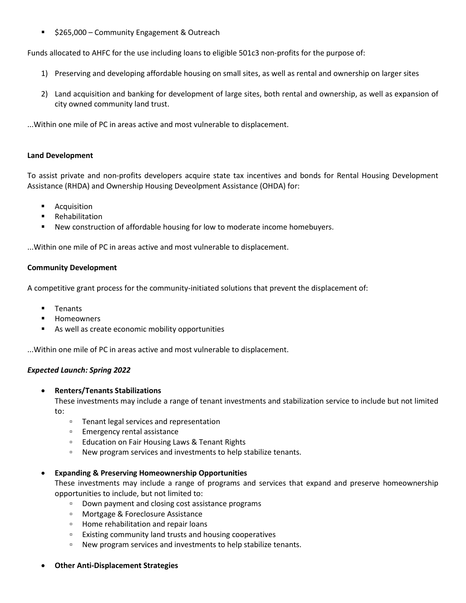\$265,000 – Community Engagement & Outreach

Funds allocated to AHFC for the use including loans to eligible 501c3 non-profits for the purpose of:

- 1) Preserving and developing affordable housing on small sites, as well as rental and ownership on larger sites
- 2) Land acquisition and banking for development of large sites, both rental and ownership, as well as expansion of city owned community land trust.

...Within one mile of PC in areas active and most vulnerable to displacement.

## **Land Development**

To assist private and non-profits developers acquire state tax incentives and bonds for Rental Housing Development Assistance (RHDA) and Ownership Housing Deveolpment Assistance (OHDA) for:

- Acquisition
- Rehabilitation
- New construction of affordable housing for low to moderate income homebuyers.

...Within one mile of PC in areas active and most vulnerable to displacement.

## **Community Development**

A competitive grant process for the community-initiated solutions that prevent the displacement of:

- **Tenants**
- Homeowners
- As well as create economic mobility opportunities

...Within one mile of PC in areas active and most vulnerable to displacement.

## *Expected Launch: Spring 2022*

• **Renters/Tenants Stabilizations**

These investments may include a range of tenant investments and stabilization service to include but not limited to:

- Tenant legal services and representation
- Emergency rental assistance
- Education on Fair Housing Laws & Tenant Rights
- New program services and investments to help stabilize tenants.

## • **Expanding & Preserving Homeownership Opportunities**

These investments may include a range of programs and services that expand and preserve homeownership opportunities to include, but not limited to:

- Down payment and closing cost assistance programs
- Mortgage & Foreclosure Assistance
- Home rehabilitation and repair loans
- Existing community land trusts and housing cooperatives
- New program services and investments to help stabilize tenants.
- **Other Anti-Displacement Strategies**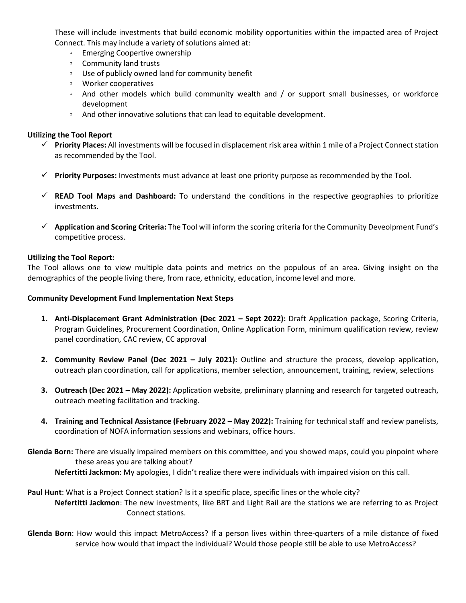These will include investments that build economic mobility opportunities within the impacted area of Project Connect. This may include a variety of solutions aimed at:

- Emerging Coopertive ownership
- Community land trusts
- Use of publicly owned land for community benefit
- Worker cooperatives
- And other models which build community wealth and / or support small businesses, or workforce development
- And other innovative solutions that can lead to equitable development.

## **Utilizing the Tool Report**

- **Priority Places:** All investments will be focused in displacement risk area within 1 mile of a Project Connect station as recommended by the Tool.
- **Priority Purposes:** Investments must advance at least one priority purpose as recommended by the Tool.
- **READ Tool Maps and Dashboard:** To understand the conditions in the respective geographies to prioritize investments.
- **Application and Scoring Criteria:** The Tool will inform the scoring criteria for the Community Deveolpment Fund's competitive process.

## **Utilizing the Tool Report:**

The Tool allows one to view multiple data points and metrics on the populous of an area. Giving insight on the demographics of the people living there, from race, ethnicity, education, income level and more.

### **Community Development Fund Implementation Next Steps**

- **1. Anti-Displacement Grant Administration (Dec 2021 – Sept 2022):** Draft Application package, Scoring Criteria, Program Guidelines, Procurement Coordination, Online Application Form, minimum qualification review, review panel coordination, CAC review, CC approval
- **2. Community Review Panel (Dec 2021 – July 2021):** Outline and structure the process, develop application, outreach plan coordination, call for applications, member selection, announcement, training, review, selections
- **3. Outreach (Dec 2021 – May 2022):** Application website, preliminary planning and research for targeted outreach, outreach meeting facilitation and tracking.
- **4. Training and Technical Assistance (February 2022 – May 2022):** Training for technical staff and review panelists, coordination of NOFA information sessions and webinars, office hours.
- **Glenda Born:** There are visually impaired members on this committee, and you showed maps, could you pinpoint where these areas you are talking about? **Nefertitti Jackmon**: My apologies, I didn't realize there were individuals with impaired vision on this call.
- **Paul Hunt**: What is a Project Connect station? Is it a specific place, specific lines or the whole city? **Nefertitti Jackmon**: The new investments, like BRT and Light Rail are the stations we are referring to as Project Connect stations.
- **Glenda Born**: How would this impact MetroAccess? If a person lives within three-quarters of a mile distance of fixed service how would that impact the individual? Would those people still be able to use MetroAccess?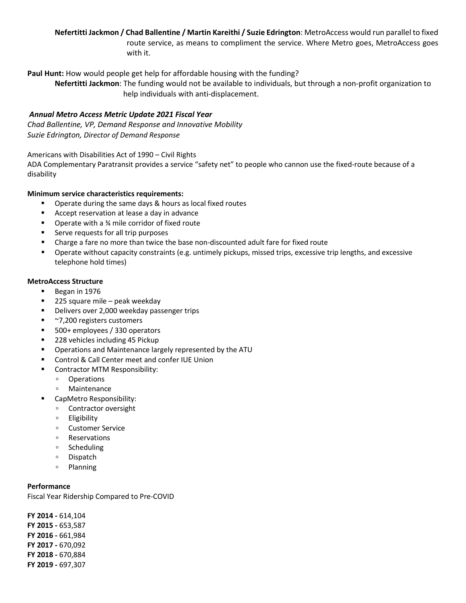**Nefertitti Jackmon / Chad Ballentine / Martin Kareithi / Suzie Edrington**: MetroAccess would run parallel to fixed route service, as means to compliment the service. Where Metro goes, MetroAccess goes with it.

**Paul Hunt:** How would people get help for affordable housing with the funding?

**Nefertitti Jackmon**: The funding would not be available to individuals, but through a non-profit organization to help individuals with anti-displacement.

## *Annual Metro Access Metric Update 2021 Fiscal Year*

*Chad Ballentine, VP, Demand Response and Innovative Mobility Suzie Edrington, Director of Demand Response*

Americans with Disabilities Act of 1990 – Civil Rights

ADA Complementary Paratransit provides a service "safety net" to people who cannon use the fixed-route because of a disability

### **Minimum service characteristics requirements:**

- Operate during the same days & hours as local fixed routes
- Accept reservation at lease a day in advance
- Operate with a ¾ mile corridor of fixed route
- Serve requests for all trip purposes
- Charge a fare no more than twice the base non-discounted adult fare for fixed route
- Operate without capacity constraints (e.g. untimely pickups, missed trips, excessive trip lengths, and excessive telephone hold times)

## **MetroAccess Structure**

- Began in 1976
- $\blacksquare$  225 square mile peak weekday
- Delivers over 2,000 weekday passenger trips
- ~7,200 registers customers
- 500+ employees / 330 operators
- 228 vehicles including 45 Pickup
- Operations and Maintenance largely represented by the ATU
- Control & Call Center meet and confer IUE Union
- Contractor MTM Responsibility:
	- Operations
	- Maintenance
- CapMetro Responsibility:
	- Contractor oversight
	- Eligibility
	- Customer Service
	- Reservations
	- Scheduling
	- Dispatch
	- Planning

### **Performance**

Fiscal Year Ridership Compared to Pre-COVID

**FY 2014 -** 614,104 **FY 2015 -** 653,587 **FY 2016 -** 661,984 **FY 2017 -** 670,092 **FY 2018 -** 670,884 **FY 2019 -** 697,307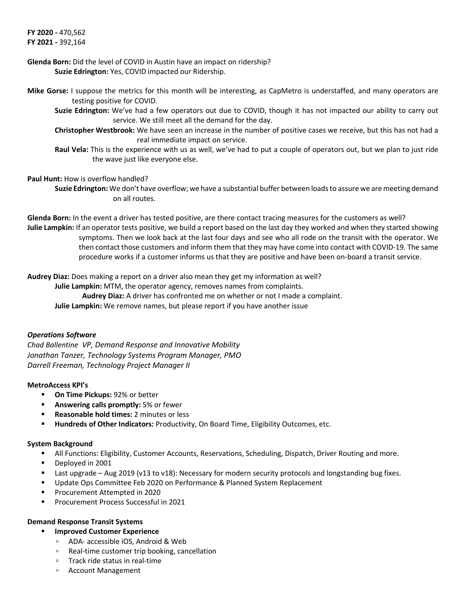**FY 2020 -** 470,562 **FY 2021 -** 392,164

## **Glenda Born:** Did the level of COVID in Austin have an impact on ridership? **Suzie Edrington:** Yes, COVID impacted our Ridership.

- **Mike Gorse:** I suppose the metrics for this month will be interesting, as CapMetro is understaffed, and many operators are testing positive for COVID.
	- **Suzie Edrington:** We've had a few operators out due to COVID, though it has not impacted our ability to carry out service. We still meet all the demand for the day.
	- **Christopher Westbrook:** We have seen an increase in the number of positive cases we receive, but this has not had a real immediate impact on service.
	- **Raul Vela:** This is the experience with us as well, we've had to put a couple of operators out, but we plan to just ride the wave just like everyone else.

### **Paul Hunt:** How is overflow handled?

**Suzie Edrington:** We don't have overflow; we have a substantial buffer between loads to assure we are meeting demand on all routes.

**Glenda Born:** In the event a driver has tested positive, are there contact tracing measures for the customers as well? **Julie Lampkin:** If an operator tests positive, we build a report based on the last day they worked and when they started showing symptoms. Then we look back at the last four days and see who all rode on the transit with the operator. We then contact those customers and inform them that they may have come into contact with COVID-19. The same procedure works if a customer informs us that they are positive and have been on-board a transit service.

**Audrey Diaz:** Does making a report on a driver also mean they get my information as well?

**Julie Lampkin:** MTM, the operator agency, removes names from complaints. **Audrey Diaz:** A driver has confronted me on whether or not I made a complaint. **Julie Lampkin:** We remove names, but please report if you have another issue

## *Operations Software*

*Chad Ballentine, VP, Demand Response and Innovative Mobility Jonathan Tanzer, Technology Systems Program Manager, PMO Darrell Freeman, Technology Project Manager II*

#### **MetroAccess KPI's**

- **On Time Pickups:** 92% or better
- **Answering calls promptly:** 5% or fewer
- **Reasonable hold times:** 2 minutes or less
- **Hundreds of Other Indicators:** Productivity, On Board Time, Eligibility Outcomes, etc.

#### **System Background**

- All Functions: Eligibility, Customer Accounts, Reservations, Scheduling, Dispatch, Driver Routing and more.
- Deployed in 2001
- Last upgrade Aug 2019 (v13 to v18): Necessary for modern security protocols and longstanding bug fixes.
- Update Ops Committee Feb 2020 on Performance & Planned System Replacement
- Procurement Attempted in 2020
- Procurement Process Successful in 2021

## **Demand Response Transit Systems**

- **Improved Customer Experience**
	- ADA- accessible iOS, Android & Web
	- Real-time customer trip booking, cancellation
	- Track ride status in real-time
	- Account Management